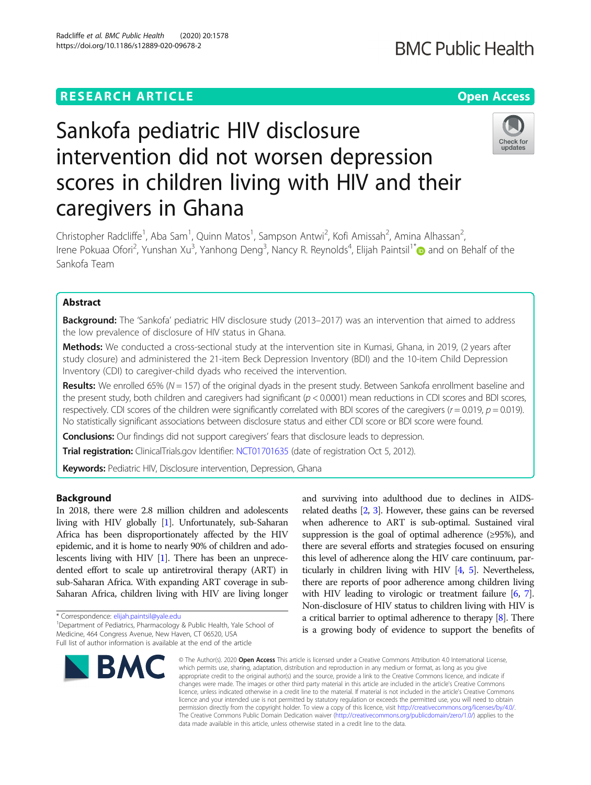## **RESEARCH ARTICLE Example 2014 12:30 The Contract of Contract ACCESS**

# Sankofa pediatric HIV disclosure intervention did not worsen depression scores in children living with HIV and their caregivers in Ghana

Christopher Radcliffe<sup>1</sup>, Aba Sam<sup>1</sup>, Quinn Matos<sup>1</sup>, Sampson Antwi<sup>2</sup>, Kofi Amissah<sup>2</sup>, Amina Alhassan<sup>2</sup> , Irene Pokuaa Ofori<sup>2</sup>, Yunshan Xu<sup>3</sup>, Yanhong Deng<sup>3</sup>, Nancy R. Reynolds<sup>4</sup>, Elijah Paintsil<sup>1\*</sup> and on Behalf of the Sankofa Team

### Abstract

**Background:** The 'Sankofa' pediatric HIV disclosure study (2013–2017) was an intervention that aimed to address the low prevalence of disclosure of HIV status in Ghana.

Methods: We conducted a cross-sectional study at the intervention site in Kumasi, Ghana, in 2019, (2 years after study closure) and administered the 21-item Beck Depression Inventory (BDI) and the 10-item Child Depression Inventory (CDI) to caregiver-child dyads who received the intervention.

Results: We enrolled 65% ( $N = 157$ ) of the original dyads in the present study. Between Sankofa enrollment baseline and the present study, both children and caregivers had significant  $(p < 0.0001)$  mean reductions in CDI scores and BDI scores, respectively. CDI scores of the children were significantly correlated with BDI scores of the caregivers ( $r = 0.019$ ,  $p = 0.019$ ). No statistically significant associations between disclosure status and either CDI score or BDI score were found.

**Conclusions:** Our findings did not support caregivers' fears that disclosure leads to depression.

**Trial registration:** ClinicalTrials.gov Identifier: [NCT01701635](https://clinicaltrials.gov/ct2/show/NCT01701635) (date of registration Oct 5, 2012).

Keywords: Pediatric HIV, Disclosure intervention, Depression, Ghana

#### Background

In 2018, there were 2.8 million children and adolescents living with HIV globally [\[1](#page-8-0)]. Unfortunately, sub-Saharan Africa has been disproportionately affected by the HIV epidemic, and it is home to nearly 90% of children and adolescents living with HIV [\[1](#page-8-0)]. There has been an unprecedented effort to scale up antiretroviral therapy (ART) in sub-Saharan Africa. With expanding ART coverage in sub-Saharan Africa, children living with HIV are living longer

\* Correspondence: [elijah.paintsil@yale.edu](mailto:elijah.paintsil@yale.edu) <sup>1</sup>

**BMC** 

<sup>1</sup>Department of Pediatrics, Pharmacology & Public Health, Yale School of Medicine, 464 Congress Avenue, New Haven, CT 06520, USA Full list of author information is available at the end of the article

© The Author(s), 2020 **Open Access** This article is licensed under a Creative Commons Attribution 4.0 International License, which permits use, sharing, adaptation, distribution and reproduction in any medium or format, as long as you give appropriate credit to the original author(s) and the source, provide a link to the Creative Commons licence, and indicate if changes were made. The images or other third party material in this article are included in the article's Creative Commons licence, unless indicated otherwise in a credit line to the material. If material is not included in the article's Creative Commons licence and your intended use is not permitted by statutory regulation or exceeds the permitted use, you will need to obtain permission directly from the copyright holder. To view a copy of this licence, visit [http://creativecommons.org/licenses/by/4.0/.](http://creativecommons.org/licenses/by/4.0/) The Creative Commons Public Domain Dedication waiver [\(http://creativecommons.org/publicdomain/zero/1.0/](http://creativecommons.org/publicdomain/zero/1.0/)) applies to the data made available in this article, unless otherwise stated in a credit line to the data.

and surviving into adulthood due to declines in AIDSrelated deaths [\[2,](#page-8-0) [3\]](#page-8-0). However, these gains can be reversed when adherence to ART is sub-optimal. Sustained viral suppression is the goal of optimal adherence  $(\geq 95\%)$ , and there are several efforts and strategies focused on ensuring this level of adherence along the HIV care continuum, particularly in children living with HIV [\[4](#page-8-0), [5](#page-8-0)]. Nevertheless, there are reports of poor adherence among children living with HIV leading to virologic or treatment failure [[6](#page-8-0), [7](#page-8-0)]. Non-disclosure of HIV status to children living with HIV is a critical barrier to optimal adherence to therapy [\[8](#page-8-0)]. There is a growing body of evidence to support the benefits of





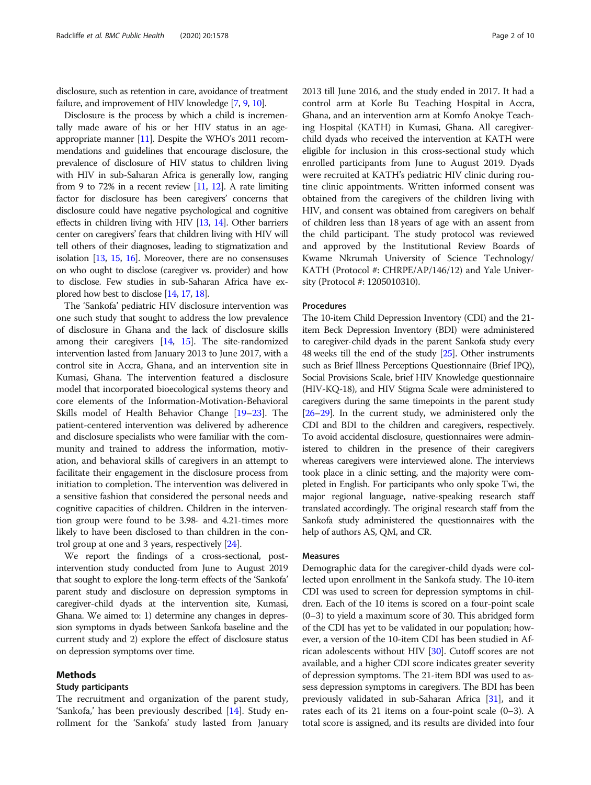disclosure, such as retention in care, avoidance of treatment failure, and improvement of HIV knowledge [[7](#page-8-0), [9,](#page-8-0) [10\]](#page-8-0).

Disclosure is the process by which a child is incrementally made aware of his or her HIV status in an ageappropriate manner [\[11\]](#page-8-0). Despite the WHO's 2011 recommendations and guidelines that encourage disclosure, the prevalence of disclosure of HIV status to children living with HIV in sub-Saharan Africa is generally low, ranging from 9 to 72% in a recent review  $[11, 12]$  $[11, 12]$  $[11, 12]$ . A rate limiting factor for disclosure has been caregivers' concerns that disclosure could have negative psychological and cognitive effects in children living with HIV [[13](#page-9-0), [14](#page-9-0)]. Other barriers center on caregivers' fears that children living with HIV will tell others of their diagnoses, leading to stigmatization and isolation [\[13,](#page-9-0) [15](#page-9-0), [16](#page-9-0)]. Moreover, there are no consensuses on who ought to disclose (caregiver vs. provider) and how to disclose. Few studies in sub-Saharan Africa have explored how best to disclose [[14,](#page-9-0) [17](#page-9-0), [18](#page-9-0)].

The 'Sankofa' pediatric HIV disclosure intervention was one such study that sought to address the low prevalence of disclosure in Ghana and the lack of disclosure skills among their caregivers [\[14](#page-9-0), [15](#page-9-0)]. The site-randomized intervention lasted from January 2013 to June 2017, with a control site in Accra, Ghana, and an intervention site in Kumasi, Ghana. The intervention featured a disclosure model that incorporated bioecological systems theory and core elements of the Information-Motivation-Behavioral Skills model of Health Behavior Change [[19](#page-9-0)–[23\]](#page-9-0). The patient-centered intervention was delivered by adherence and disclosure specialists who were familiar with the community and trained to address the information, motivation, and behavioral skills of caregivers in an attempt to facilitate their engagement in the disclosure process from initiation to completion. The intervention was delivered in a sensitive fashion that considered the personal needs and cognitive capacities of children. Children in the intervention group were found to be 3.98- and 4.21-times more likely to have been disclosed to than children in the control group at one and 3 years, respectively [\[24\]](#page-9-0).

We report the findings of a cross-sectional, postintervention study conducted from June to August 2019 that sought to explore the long-term effects of the 'Sankofa' parent study and disclosure on depression symptoms in caregiver-child dyads at the intervention site, Kumasi, Ghana. We aimed to: 1) determine any changes in depression symptoms in dyads between Sankofa baseline and the current study and 2) explore the effect of disclosure status on depression symptoms over time.

#### Methods

#### Study participants

The recruitment and organization of the parent study, 'Sankofa,' has been previously described [[14\]](#page-9-0). Study enrollment for the 'Sankofa' study lasted from January 2013 till June 2016, and the study ended in 2017. It had a control arm at Korle Bu Teaching Hospital in Accra, Ghana, and an intervention arm at Komfo Anokye Teaching Hospital (KATH) in Kumasi, Ghana. All caregiverchild dyads who received the intervention at KATH were eligible for inclusion in this cross-sectional study which enrolled participants from June to August 2019. Dyads were recruited at KATH's pediatric HIV clinic during routine clinic appointments. Written informed consent was obtained from the caregivers of the children living with HIV, and consent was obtained from caregivers on behalf of children less than 18 years of age with an assent from the child participant. The study protocol was reviewed and approved by the Institutional Review Boards of Kwame Nkrumah University of Science Technology/ KATH (Protocol #: CHRPE/AP/146/12) and Yale University (Protocol #: 1205010310).

#### Procedures

The 10-item Child Depression Inventory (CDI) and the 21 item Beck Depression Inventory (BDI) were administered to caregiver-child dyads in the parent Sankofa study every 48 weeks till the end of the study [\[25\]](#page-9-0). Other instruments such as Brief Illness Perceptions Questionnaire (Brief IPQ), Social Provisions Scale, brief HIV Knowledge questionnaire (HIV-KQ-18), and HIV Stigma Scale were administered to caregivers during the same timepoints in the parent study [[26](#page-9-0)–[29](#page-9-0)]. In the current study, we administered only the CDI and BDI to the children and caregivers, respectively. To avoid accidental disclosure, questionnaires were administered to children in the presence of their caregivers whereas caregivers were interviewed alone. The interviews took place in a clinic setting, and the majority were completed in English. For participants who only spoke Twi, the major regional language, native-speaking research staff translated accordingly. The original research staff from the Sankofa study administered the questionnaires with the help of authors AS, QM, and CR.

#### Measures

Demographic data for the caregiver-child dyads were collected upon enrollment in the Sankofa study. The 10-item CDI was used to screen for depression symptoms in children. Each of the 10 items is scored on a four-point scale (0–3) to yield a maximum score of 30. This abridged form of the CDI has yet to be validated in our population; however, a version of the 10-item CDI has been studied in African adolescents without HIV [[30](#page-9-0)]. Cutoff scores are not available, and a higher CDI score indicates greater severity of depression symptoms. The 21-item BDI was used to assess depression symptoms in caregivers. The BDI has been previously validated in sub-Saharan Africa [[31](#page-9-0)], and it rates each of its 21 items on a four-point scale (0–3). A total score is assigned, and its results are divided into four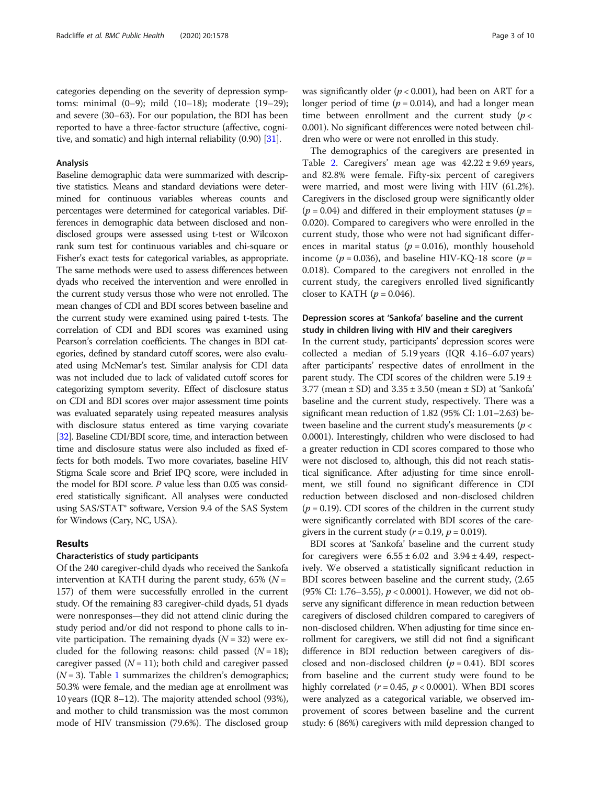categories depending on the severity of depression symptoms: minimal (0–9); mild (10–18); moderate (19–29); and severe (30–63). For our population, the BDI has been reported to have a three-factor structure (affective, cognitive, and somatic) and high internal reliability (0.90) [[31](#page-9-0)].

#### Analysis

Baseline demographic data were summarized with descriptive statistics. Means and standard deviations were determined for continuous variables whereas counts and percentages were determined for categorical variables. Differences in demographic data between disclosed and nondisclosed groups were assessed using t-test or Wilcoxon rank sum test for continuous variables and chi-square or Fisher's exact tests for categorical variables, as appropriate. The same methods were used to assess differences between dyads who received the intervention and were enrolled in the current study versus those who were not enrolled. The mean changes of CDI and BDI scores between baseline and the current study were examined using paired t-tests. The correlation of CDI and BDI scores was examined using Pearson's correlation coefficients. The changes in BDI categories, defined by standard cutoff scores, were also evaluated using McNemar's test. Similar analysis for CDI data was not included due to lack of validated cutoff scores for categorizing symptom severity. Effect of disclosure status on CDI and BDI scores over major assessment time points was evaluated separately using repeated measures analysis with disclosure status entered as time varying covariate [[32](#page-9-0)]. Baseline CDI/BDI score, time, and interaction between time and disclosure status were also included as fixed effects for both models. Two more covariates, baseline HIV Stigma Scale score and Brief IPQ score, were included in the model for BDI score. P value less than 0.05 was considered statistically significant. All analyses were conducted using SAS/STAT® software, Version 9.4 of the SAS System for Windows (Cary, NC, USA).

#### Results

#### Characteristics of study participants

Of the 240 caregiver-child dyads who received the Sankofa intervention at KATH during the parent study,  $65\%$  ( $N =$ 157) of them were successfully enrolled in the current study. Of the remaining 83 caregiver-child dyads, 51 dyads were nonresponses—they did not attend clinic during the study period and/or did not respond to phone calls to invite participation. The remaining dyads  $(N = 32)$  were excluded for the following reasons: child passed  $(N = 18)$ ; caregiver passed  $(N = 11)$ ; both child and caregiver passed  $(N = 3)$ . Table [1](#page-3-0) summarizes the children's demographics; 50.3% were female, and the median age at enrollment was 10 years (IQR 8–12). The majority attended school (93%), and mother to child transmission was the most common mode of HIV transmission (79.6%). The disclosed group was significantly older  $(p < 0.001)$ , had been on ART for a longer period of time ( $p = 0.014$ ), and had a longer mean time between enrollment and the current study ( $p <$ 0.001). No significant differences were noted between children who were or were not enrolled in this study.

The demographics of the caregivers are presented in Table [2.](#page-5-0) Caregivers' mean age was  $42.22 \pm 9.69$  years, and 82.8% were female. Fifty-six percent of caregivers were married, and most were living with HIV (61.2%). Caregivers in the disclosed group were significantly older ( $p = 0.04$ ) and differed in their employment statuses ( $p =$ 0.020). Compared to caregivers who were enrolled in the current study, those who were not had significant differences in marital status ( $p = 0.016$ ), monthly household income ( $p = 0.036$ ), and baseline HIV-KQ-18 score ( $p =$ 0.018). Compared to the caregivers not enrolled in the current study, the caregivers enrolled lived significantly closer to KATH  $(p = 0.046)$ .

#### Depression scores at 'Sankofa' baseline and the current study in children living with HIV and their caregivers

In the current study, participants' depression scores were collected a median of 5.19 years (IQR 4.16–6.07 years) after participants' respective dates of enrollment in the parent study. The CDI scores of the children were 5.19 ± 3.77 (mean  $\pm$  SD) and 3.35  $\pm$  3.50 (mean  $\pm$  SD) at 'Sankofa' baseline and the current study, respectively. There was a significant mean reduction of 1.82 (95% CI: 1.01–2.63) between baseline and the current study's measurements ( $p <$ 0.0001). Interestingly, children who were disclosed to had a greater reduction in CDI scores compared to those who were not disclosed to, although, this did not reach statistical significance. After adjusting for time since enrollment, we still found no significant difference in CDI reduction between disclosed and non-disclosed children  $(p = 0.19)$ . CDI scores of the children in the current study were significantly correlated with BDI scores of the caregivers in the current study ( $r = 0.19$ ,  $p = 0.019$ ).

BDI scores at 'Sankofa' baseline and the current study for caregivers were  $6.55 \pm 6.02$  and  $3.94 \pm 4.49$ , respectively. We observed a statistically significant reduction in BDI scores between baseline and the current study, (2.65 (95% CI: 1.76–3.55),  $p < 0.0001$ ). However, we did not observe any significant difference in mean reduction between caregivers of disclosed children compared to caregivers of non-disclosed children. When adjusting for time since enrollment for caregivers, we still did not find a significant difference in BDI reduction between caregivers of disclosed and non-disclosed children ( $p = 0.41$ ). BDI scores from baseline and the current study were found to be highly correlated ( $r = 0.45$ ,  $p < 0.0001$ ). When BDI scores were analyzed as a categorical variable, we observed improvement of scores between baseline and the current study: 6 (86%) caregivers with mild depression changed to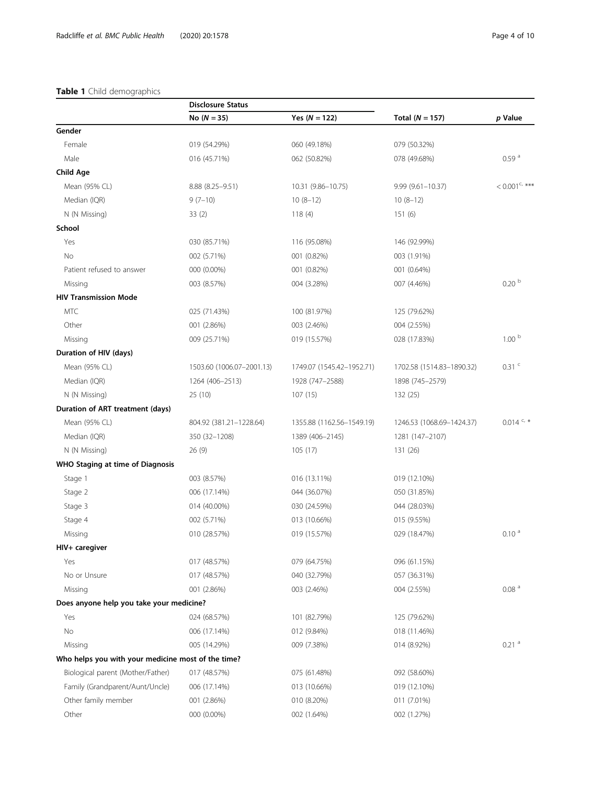#### <span id="page-3-0"></span>Table 1 Child demographics

|                                                    | <b>Disclosure Status</b>  |                           |                           |                         |
|----------------------------------------------------|---------------------------|---------------------------|---------------------------|-------------------------|
|                                                    | No $(N = 35)$             | Yes $(N = 122)$           | Total $(N = 157)$         | p Value                 |
| Gender                                             |                           |                           |                           |                         |
| Female                                             | 019 (54.29%)              | 060 (49.18%)              | 079 (50.32%)              |                         |
| Male                                               | 016 (45.71%)              | 062 (50.82%)              | 078 (49.68%)              | 0.59 <sup>a</sup>       |
| <b>Child Age</b>                                   |                           |                           |                           |                         |
| Mean (95% CL)                                      | 8.88 (8.25 - 9.51)        | 10.31 (9.86-10.75)        | $9.99(9.61 - 10.37)$      | $< 0.001^{c, \; ***}$   |
| Median (IQR)                                       | $9(7-10)$                 | $10(8-12)$                | $10(8-12)$                |                         |
| N (N Missing)                                      | 33(2)                     | 118(4)                    | 151(6)                    |                         |
| School                                             |                           |                           |                           |                         |
| Yes                                                | 030 (85.71%)              | 116 (95.08%)              | 146 (92.99%)              |                         |
| No                                                 | 002 (5.71%)               | 001 (0.82%)               | 003 (1.91%)               |                         |
| Patient refused to answer                          | 000 (0.00%)               | 001 (0.82%)               | 001 (0.64%)               |                         |
| Missing                                            | 003 (8.57%)               | 004 (3.28%)               | 007 (4.46%)               | 0.20 <sup>b</sup>       |
| <b>HIV Transmission Mode</b>                       |                           |                           |                           |                         |
| <b>MTC</b>                                         | 025 (71.43%)              | 100 (81.97%)              | 125 (79.62%)              |                         |
| Other                                              | 001 (2.86%)               | 003 (2.46%)               | 004 (2.55%)               |                         |
| Missing                                            | 009 (25.71%)              | 019 (15.57%)              | 028 (17.83%)              | 1.00 <sup>b</sup>       |
| Duration of HIV (days)                             |                           |                           |                           |                         |
| Mean (95% CL)                                      | 1503.60 (1006.07-2001.13) | 1749.07 (1545.42-1952.71) | 1702.58 (1514.83-1890.32) | $0.31$ $c$              |
| Median (IQR)                                       | 1264 (406-2513)           | 1928 (747-2588)           | 1898 (745-2579)           |                         |
| N (N Missing)                                      | 25(10)                    | 107(15)                   | 132 (25)                  |                         |
| Duration of ART treatment (days)                   |                           |                           |                           |                         |
| Mean (95% CL)                                      | 804.92 (381.21-1228.64)   | 1355.88 (1162.56-1549.19) | 1246.53 (1068.69-1424.37) | $0.014$ <sup>c, *</sup> |
| Median (IQR)                                       | 350 (32-1208)             | 1389 (406-2145)           | 1281 (147-2107)           |                         |
| N (N Missing)                                      | 26(9)                     | 105(17)                   | 131 (26)                  |                         |
| <b>WHO Staging at time of Diagnosis</b>            |                           |                           |                           |                         |
| Stage 1                                            | 003 (8.57%)               | 016 (13.11%)              | 019 (12.10%)              |                         |
| Stage 2                                            | 006 (17.14%)              | 044 (36.07%)              | 050 (31.85%)              |                         |
| Stage 3                                            | 014 (40.00%)              | 030 (24.59%)              | 044 (28.03%)              |                         |
| Stage 4                                            | 002 (5.71%)               | 013 (10.66%)              | 015 (9.55%)               |                         |
| Missing                                            | 010 (28.57%)              | 019 (15.57%)              | 029 (18.47%)              | 0.10 <sup>a</sup>       |
| HIV+ caregiver                                     |                           |                           |                           |                         |
| Yes                                                | 017 (48.57%)              | 079 (64.75%)              | 096 (61.15%)              |                         |
| No or Unsure                                       | 017 (48.57%)              | 040 (32.79%)              | 057 (36.31%)              |                         |
| Missing                                            | 001 (2.86%)               | 003 (2.46%)               | 004 (2.55%)               | 0.08 <sup>a</sup>       |
| Does anyone help you take your medicine?           |                           |                           |                           |                         |
| Yes                                                | 024 (68.57%)              | 101 (82.79%)              | 125 (79.62%)              |                         |
| No                                                 | 006 (17.14%)              | 012 (9.84%)               | 018 (11.46%)              |                         |
| Missing                                            | 005 (14.29%)              | 009 (7.38%)               | 014 (8.92%)               | $0.21$ <sup>a</sup>     |
| Who helps you with your medicine most of the time? |                           |                           |                           |                         |
| Biological parent (Mother/Father)                  | 017 (48.57%)              | 075 (61.48%)              | 092 (58.60%)              |                         |
| Family (Grandparent/Aunt/Uncle)                    | 006 (17.14%)              | 013 (10.66%)              | 019 (12.10%)              |                         |
| Other family member                                | 001 (2.86%)               | 010 (8.20%)               | 011 (7.01%)               |                         |
| Other                                              | 000 (0.00%)               | 002 (1.64%)               | 002 (1.27%)               |                         |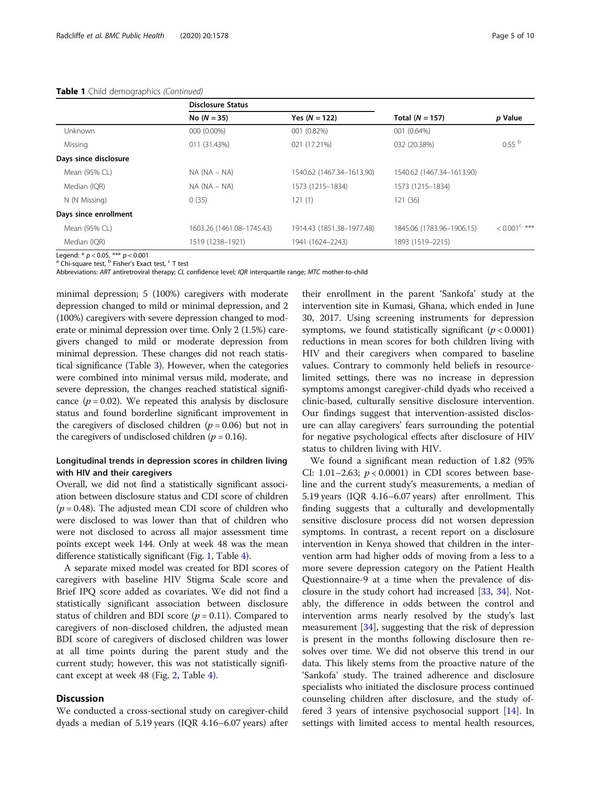|                       | <b>Disclosure Status</b>  |                           |                           |                    |
|-----------------------|---------------------------|---------------------------|---------------------------|--------------------|
|                       | No $(N = 35)$             | Yes $(N = 122)$           | Total $(N = 157)$         | p Value            |
| Unknown               | 000 (0.00%)               | 001 (0.82%)               | 001 (0.64%)               |                    |
| Missing               | 011 (31.43%)              | 021 (17.21%)              | 032 (20.38%)              | 0.55 <sup>b</sup>  |
| Days since disclosure |                           |                           |                           |                    |
| Mean (95% CL)         | $NA$ ( $NA$ – $NA$ )      | 1540.62 (1467.34-1613.90) | 1540.62 (1467.34-1613.90) |                    |
| Median (IQR)          | $NA$ ( $NA$ – $NA$ )      | 1573 (1215-1834)          | 1573 (1215-1834)          |                    |
| N (N Missing)         | 0(35)                     | 121(1)                    | 121(36)                   |                    |
| Days since enrollment |                           |                           |                           |                    |
| Mean (95% CL)         | 1603.26 (1461.08-1745.43) | 1914.43 (1851.38-1977.48) | 1845.06 (1783.96-1906.15) | $< 0.001^{c, ***}$ |
| Median (IQR)          | 1519 (1238–1921)          | 1941 (1624-2243)          | 1893 (1519-2215)          |                    |

Legend: \*  $p < 0.05$ , \*\*\*  $p < 0.001$ <br><sup>a</sup> Chi-square test, <sup>b</sup> Fisher's Exact test, <sup>c</sup> T test

Abbreviations: ART antiretroviral therapy; CL confidence level; IQR interquartile range; MTC mother-to-child

minimal depression; 5 (100%) caregivers with moderate depression changed to mild or minimal depression, and 2 (100%) caregivers with severe depression changed to moderate or minimal depression over time. Only 2 (1.5%) caregivers changed to mild or moderate depression from minimal depression. These changes did not reach statistical significance (Table [3](#page-6-0)). However, when the categories were combined into minimal versus mild, moderate, and severe depression, the changes reached statistical significance  $(p = 0.02)$ . We repeated this analysis by disclosure status and found borderline significant improvement in the caregivers of disclosed children ( $p = 0.06$ ) but not in the caregivers of undisclosed children ( $p = 0.16$ ).

#### Longitudinal trends in depression scores in children living with HIV and their caregivers

Overall, we did not find a statistically significant association between disclosure status and CDI score of children  $(p = 0.48)$ . The adjusted mean CDI score of children who were disclosed to was lower than that of children who were not disclosed to across all major assessment time points except week 144. Only at week 48 was the mean difference statistically significant (Fig. [1](#page-7-0), Table [4\)](#page-7-0).

A separate mixed model was created for BDI scores of caregivers with baseline HIV Stigma Scale score and Brief IPQ score added as covariates. We did not find a statistically significant association between disclosure status of children and BDI score ( $p = 0.11$ ). Compared to caregivers of non-disclosed children, the adjusted mean BDI score of caregivers of disclosed children was lower at all time points during the parent study and the current study; however, this was not statistically significant except at week 48 (Fig. [2,](#page-7-0) Table [4\)](#page-7-0).

#### **Discussion**

We conducted a cross-sectional study on caregiver-child dyads a median of 5.19 years (IQR 4.16–6.07 years) after their enrollment in the parent 'Sankofa' study at the intervention site in Kumasi, Ghana, which ended in June 30, 2017. Using screening instruments for depression symptoms, we found statistically significant ( $p < 0.0001$ ) reductions in mean scores for both children living with HIV and their caregivers when compared to baseline values. Contrary to commonly held beliefs in resourcelimited settings, there was no increase in depression symptoms amongst caregiver-child dyads who received a clinic-based, culturally sensitive disclosure intervention. Our findings suggest that intervention-assisted disclosure can allay caregivers' fears surrounding the potential for negative psychological effects after disclosure of HIV status to children living with HIV.

We found a significant mean reduction of 1.82 (95% CI: 1.01–2.63;  $p < 0.0001$ ) in CDI scores between baseline and the current study's measurements, a median of 5.19 years (IQR 4.16–6.07 years) after enrollment. This finding suggests that a culturally and developmentally sensitive disclosure process did not worsen depression symptoms. In contrast, a recent report on a disclosure intervention in Kenya showed that children in the intervention arm had higher odds of moving from a less to a more severe depression category on the Patient Health Questionnaire-9 at a time when the prevalence of disclosure in the study cohort had increased [[33,](#page-9-0) [34](#page-9-0)]. Notably, the difference in odds between the control and intervention arms nearly resolved by the study's last measurement [\[34](#page-9-0)], suggesting that the risk of depression is present in the months following disclosure then resolves over time. We did not observe this trend in our data. This likely stems from the proactive nature of the 'Sankofa' study. The trained adherence and disclosure specialists who initiated the disclosure process continued counseling children after disclosure, and the study offered 3 years of intensive psychosocial support [[14](#page-9-0)]. In settings with limited access to mental health resources,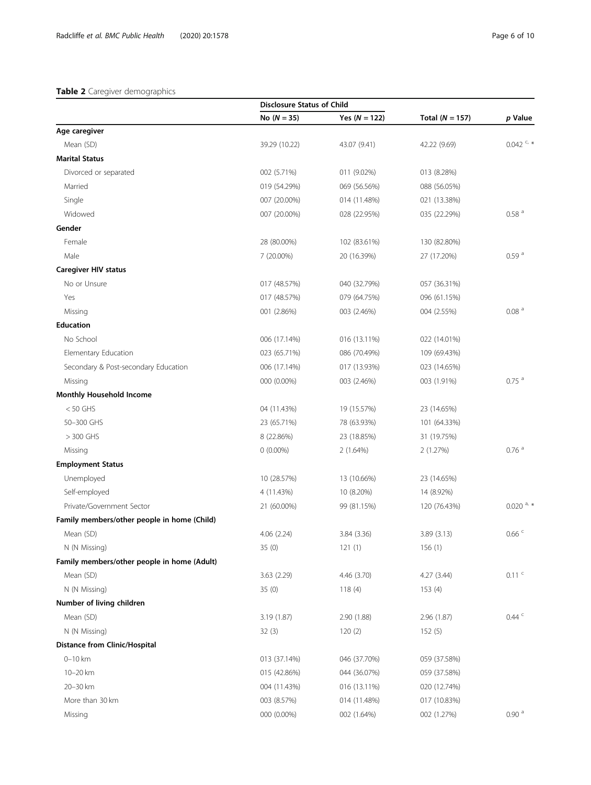#### <span id="page-5-0"></span>Table 2 Caregiver demographics

|                                             | <b>Disclosure Status of Child</b> |                 |                   |                         |
|---------------------------------------------|-----------------------------------|-----------------|-------------------|-------------------------|
|                                             | No $(N = 35)$                     | Yes $(N = 122)$ | Total $(N = 157)$ | p Value                 |
| Age caregiver                               |                                   |                 |                   |                         |
| Mean (SD)                                   | 39.29 (10.22)                     | 43.07 (9.41)    | 42.22 (9.69)      | $0.042$ <sup>c, *</sup> |
| <b>Marital Status</b>                       |                                   |                 |                   |                         |
| Divorced or separated                       | 002 (5.71%)                       | 011 (9.02%)     | 013 (8.28%)       |                         |
| Married                                     | 019 (54.29%)                      | 069 (56.56%)    | 088 (56.05%)      |                         |
| Single                                      | 007 (20.00%)                      | 014 (11.48%)    | 021 (13.38%)      |                         |
| Widowed                                     | 007 (20.00%)                      | 028 (22.95%)    | 035 (22.29%)      | 0.58 <sup>a</sup>       |
| Gender                                      |                                   |                 |                   |                         |
| Female                                      | 28 (80.00%)                       | 102 (83.61%)    | 130 (82.80%)      |                         |
| Male                                        | 7 (20.00%)                        | 20 (16.39%)     | 27 (17.20%)       | 0.59 <sup>a</sup>       |
| <b>Caregiver HIV status</b>                 |                                   |                 |                   |                         |
| No or Unsure                                | 017 (48.57%)                      | 040 (32.79%)    | 057 (36.31%)      |                         |
| Yes                                         | 017 (48.57%)                      | 079 (64.75%)    | 096 (61.15%)      |                         |
| Missing                                     | 001 (2.86%)                       | 003 (2.46%)     | 004 (2.55%)       | 0.08 <sup>a</sup>       |
| <b>Education</b>                            |                                   |                 |                   |                         |
| No School                                   | 006 (17.14%)                      | 016 (13.11%)    | 022 (14.01%)      |                         |
| Elementary Education                        | 023 (65.71%)                      | 086 (70.49%)    | 109 (69.43%)      |                         |
| Secondary & Post-secondary Education        | 006 (17.14%)                      | 017 (13.93%)    | 023 (14.65%)      |                         |
| Missing                                     | 000 (0.00%)                       | 003 (2.46%)     | 003 (1.91%)       | $0.75$ <sup>a</sup>     |
| Monthly Household Income                    |                                   |                 |                   |                         |
| $< 50$ GHS                                  | 04 (11.43%)                       | 19 (15.57%)     | 23 (14.65%)       |                         |
| 50-300 GHS                                  | 23 (65.71%)                       | 78 (63.93%)     | 101 (64.33%)      |                         |
| > 300 GHS                                   | 8 (22.86%)                        | 23 (18.85%)     | 31 (19.75%)       |                         |
| Missing                                     | $0(0.00\%)$                       | 2(1.64%)        | 2 (1.27%)         | 0.76a                   |
| <b>Employment Status</b>                    |                                   |                 |                   |                         |
| Unemployed                                  | 10 (28.57%)                       | 13 (10.66%)     | 23 (14.65%)       |                         |
| Self-employed                               | 4 (11.43%)                        | 10 (8.20%)      | 14 (8.92%)        |                         |
| Private/Government Sector                   | 21 (60.00%)                       | 99 (81.15%)     | 120 (76.43%)      | $0.020$ <sup>a, *</sup> |
| Family members/other people in home (Child) |                                   |                 |                   |                         |
| Mean (SD)                                   | 4.06 (2.24)                       | 3.84(3.36)      | 3.89(3.13)        | $0.66$ <sup>c</sup>     |
| N (N Missing)                               | 35(0)                             | 121(1)          | 156(1)            |                         |
| Family members/other people in home (Adult) |                                   |                 |                   |                         |
| Mean (SD)                                   | 3.63 (2.29)                       | 4.46 (3.70)     | 4.27 (3.44)       | $0.11$ $c$              |
| N (N Missing)                               | 35(0)                             | 118(4)          | 153(4)            |                         |
| Number of living children                   |                                   |                 |                   |                         |
| Mean (SD)                                   | 3.19 (1.87)                       | 2.90 (1.88)     | 2.96 (1.87)       | $0.44$ $c$              |

N (N Missing) 32 (3) 120 (2) 152 (5)

–10 km 013 (37.14%) 046 (37.70%) 059 (37.58%) –20 km 015 (42.86%) 044 (36.07%) 059 (37.58%) –30 km 004 (11.43%) 016 (13.11%) 020 (12.74%) More than 30 km **003 (8.57%)** 003 (8.57%) 003 (8.57%) 017 (10.83%)

Missing and the contract of the contract of  $0.00\ (0.00\%)$  002 (1.64%) 002 (1.27%) 0.90 and 0.90 and 0.90 and 0.90 and 0.90 and 0.90 and 0.90 and 0.90 and 0.90 and 0.90 and 0.90 and 0.90 and 0.90 and 0.90 and 0.90 and 0.9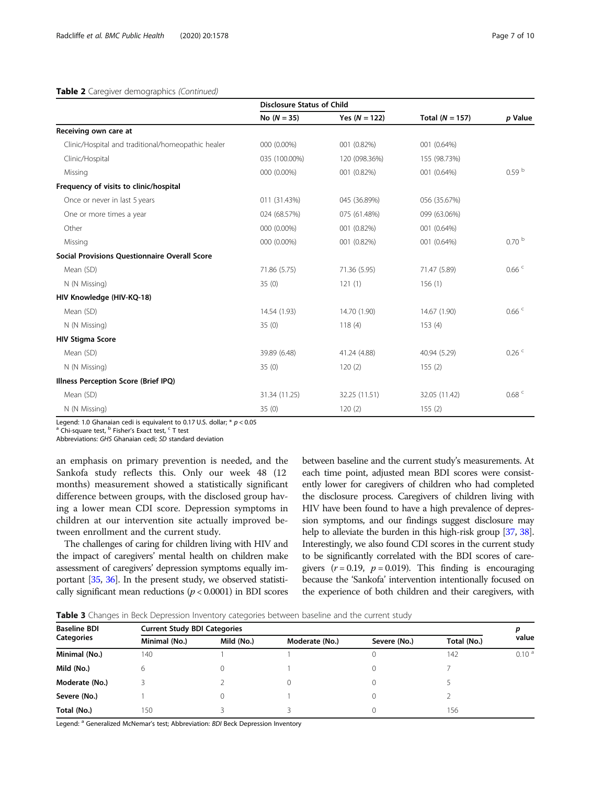#### <span id="page-6-0"></span>Table 2 Caregiver demographics (Continued)

|                                                      | <b>Disclosure Status of Child</b> |                 |                   |                     |
|------------------------------------------------------|-----------------------------------|-----------------|-------------------|---------------------|
|                                                      | No $(N = 35)$                     | Yes $(N = 122)$ | Total $(N = 157)$ | p Value             |
| Receiving own care at                                |                                   |                 |                   |                     |
| Clinic/Hospital and traditional/homeopathic healer   | 000 (0.00%)                       | 001 (0.82%)     | 001 (0.64%)       |                     |
| Clinic/Hospital                                      | 035 (100.00%)                     | 120 (098.36%)   | 155 (98.73%)      |                     |
| Missing                                              | 000 (0.00%)                       | 001 (0.82%)     | 001 (0.64%)       | 0.59 <sup>b</sup>   |
| Frequency of visits to clinic/hospital               |                                   |                 |                   |                     |
| Once or never in last 5 years                        | 011 (31.43%)                      | 045 (36.89%)    | 056 (35.67%)      |                     |
| One or more times a year                             | 024 (68.57%)                      | 075 (61.48%)    | 099 (63.06%)      |                     |
| Other                                                | 000 (0.00%)                       | 001 (0.82%)     | 001 (0.64%)       |                     |
| Missing                                              | 000 (0.00%)                       | 001 (0.82%)     | 001 (0.64%)       | 0.70 <sup>b</sup>   |
| <b>Social Provisions Questionnaire Overall Score</b> |                                   |                 |                   |                     |
| Mean (SD)                                            | 71.86 (5.75)                      | 71.36 (5.95)    | 71.47 (5.89)      | $0.66$ <sup>c</sup> |
| N (N Missing)                                        | 35(0)                             | 121(1)          | 156(1)            |                     |
| HIV Knowledge (HIV-KQ-18)                            |                                   |                 |                   |                     |
| Mean (SD)                                            | 14.54 (1.93)                      | 14.70 (1.90)    | 14.67 (1.90)      | $0.66$ <sup>c</sup> |
| N (N Missing)                                        | 35(0)                             | 118(4)          | 153(4)            |                     |
| <b>HIV Stigma Score</b>                              |                                   |                 |                   |                     |
| Mean (SD)                                            | 39.89 (6.48)                      | 41.24 (4.88)    | 40.94 (5.29)      | 0.26                |
| N (N Missing)                                        | 35(0)                             | 120(2)          | 155(2)            |                     |
| Illness Perception Score (Brief IPQ)                 |                                   |                 |                   |                     |
| Mean (SD)                                            | 31.34 (11.25)                     | 32.25 (11.51)   | 32.05 (11.42)     | $0.68$ <sup>c</sup> |
| N (N Missing)                                        | 35(0)                             | 120(2)          | 155(2)            |                     |

Legend: 1.0 Ghanaian cedi is equivalent to 0.17 U.S. dollar;  $* p < 0.05$  a Chi-square test,  $\frac{b}{p}$  Fisher's Exact test,  $\frac{c}{q}$  T test

Abbreviations: GHS Ghanaian cedi; SD standard deviation

an emphasis on primary prevention is needed, and the Sankofa study reflects this. Only our week 48 (12 months) measurement showed a statistically significant difference between groups, with the disclosed group having a lower mean CDI score. Depression symptoms in children at our intervention site actually improved between enrollment and the current study.

The challenges of caring for children living with HIV and the impact of caregivers' mental health on children make assessment of caregivers' depression symptoms equally important [\[35](#page-9-0), [36\]](#page-9-0). In the present study, we observed statistically significant mean reductions ( $p < 0.0001$ ) in BDI scores between baseline and the current study's measurements. At each time point, adjusted mean BDI scores were consistently lower for caregivers of children who had completed the disclosure process. Caregivers of children living with HIV have been found to have a high prevalence of depression symptoms, and our findings suggest disclosure may help to alleviate the burden in this high-risk group [[37](#page-9-0), [38](#page-9-0)]. Interestingly, we also found CDI scores in the current study to be significantly correlated with the BDI scores of caregivers  $(r = 0.19, p = 0.019)$ . This finding is encouraging because the 'Sankofa' intervention intentionally focused on the experience of both children and their caregivers, with

Table 3 Changes in Beck Depression Inventory categories between baseline and the current study

| <b>Baseline BDI</b> | <b>Current Study BDI Categories</b> |            |                |              |             |                   |
|---------------------|-------------------------------------|------------|----------------|--------------|-------------|-------------------|
| <b>Categories</b>   | Minimal (No.)                       | Mild (No.) | Moderate (No.) | Severe (No.) | Total (No.) | value             |
| Minimal (No.)       | 40                                  |            |                |              | 142         | 0.10 <sup>a</sup> |
| Mild (No.)          | 6                                   |            |                |              |             |                   |
| Moderate (No.)      |                                     |            |                |              |             |                   |
| Severe (No.)        |                                     |            |                |              |             |                   |
| Total (No.)         | 150                                 |            |                |              | 156         |                   |

Legend: <sup>a</sup> Generalized McNemar's test; Abbreviation: BDI Beck Depression Inventory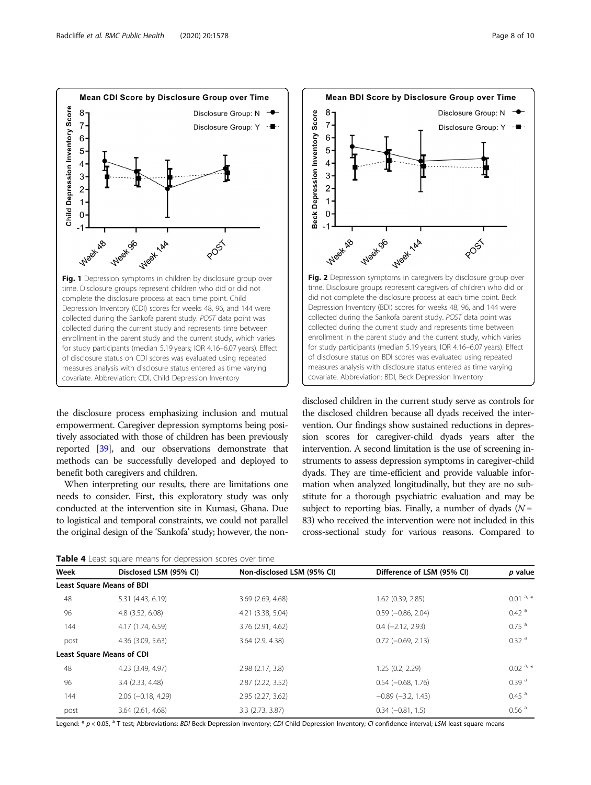<span id="page-7-0"></span>

the disclosure process emphasizing inclusion and mutual empowerment. Caregiver depression symptoms being positively associated with those of children has been previously reported [\[39](#page-9-0)], and our observations demonstrate that methods can be successfully developed and deployed to benefit both caregivers and children.

When interpreting our results, there are limitations one needs to consider. First, this exploratory study was only conducted at the intervention site in Kumasi, Ghana. Due to logistical and temporal constraints, we could not parallel the original design of the 'Sankofa' study; however, the non-



disclosed children in the current study serve as controls for the disclosed children because all dyads received the intervention. Our findings show sustained reductions in depression scores for caregiver-child dyads years after the intervention. A second limitation is the use of screening instruments to assess depression symptoms in caregiver-child dyads. They are time-efficient and provide valuable information when analyzed longitudinally, but they are no substitute for a thorough psychiatric evaluation and may be subject to reporting bias. Finally, a number of dyads  $(N =$ 83) who received the intervention were not included in this cross-sectional study for various reasons. Compared to

Table 4 Least square means for depression scores over time

| Week | Disclosed LSM (95% CI)           | Non-disclosed LSM (95% CI) | Difference of LSM (95% CI) | p value             |
|------|----------------------------------|----------------------------|----------------------------|---------------------|
|      | <b>Least Square Means of BDI</b> |                            |                            |                     |
| 48   | 5.31 (4.43, 6.19)                | $3.69$ $(2.69, 4.68)$      | 1.62 (0.39, 2.85)          | $0.01^{a, *}$       |
| 96   | 4.8 (3.52, 6.08)                 | 4.21 (3.38, 5.04)          | $0.59$ ( $-0.86$ , 2.04)   | $0.42$ <sup>a</sup> |
| 144  | 4.17 (1.74, 6.59)                | 3.76 (2.91, 4.62)          | $0.4$ (-2.12, 2.93)        | $0.75$ <sup>a</sup> |
| post | 4.36 (3.09, 5.63)                | $3.64$ $(2.9, 4.38)$       | $0.72$ ( $-0.69$ , 2.13)   | 0.32 <sup>a</sup>   |
|      | <b>Least Square Means of CDI</b> |                            |                            |                     |
| 48   | 4.23 (3.49, 4.97)                | 2.98(2.17, 3.8)            | 1.25(0.2, 2.29)            | $0.02^{a, *}$       |
| 96   | 3.4(2.33, 4.48)                  | 2.87(2.22, 3.52)           | $0.54 (-0.68, 1.76)$       | 0.39 <sup>a</sup>   |
| 144  | $2.06$ ( $-0.18$ , 4.29)         | 2.95 (2.27, 3.62)          | $-0.89$ ( $-3.2$ , 1.43)   | $0.45$ <sup>a</sup> |
| post | $3.64$ $(2.61, 4.68)$            | 3.3(2.73, 3.87)            | $0.34 (-0.81, 1.5)$        | 0.56 <sup>a</sup>   |

Legend:  $*$  p < 0.05,  $a$  T test; Abbreviations: BDI Beck Depression Inventory; CDI Child Depression Inventory; CI confidence interval; LSM least square means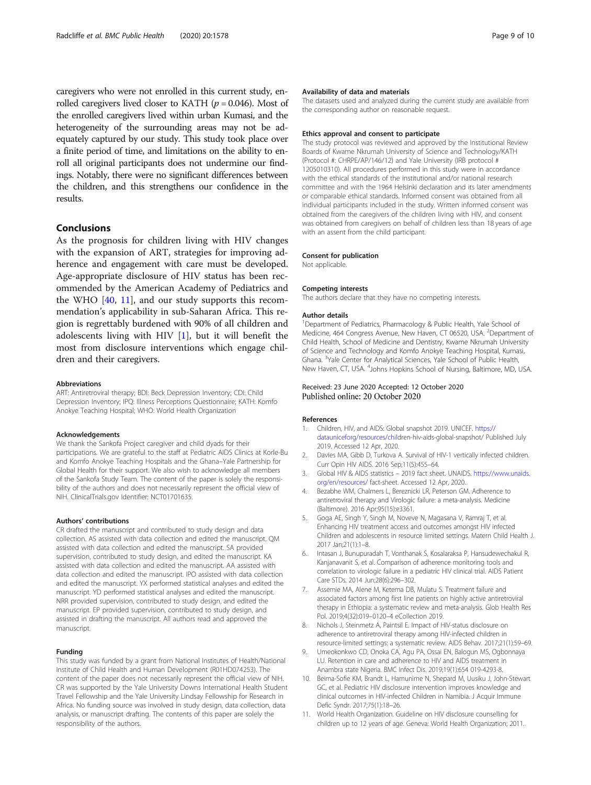<span id="page-8-0"></span>caregivers who were not enrolled in this current study, enrolled caregivers lived closer to KATH ( $p = 0.046$ ). Most of the enrolled caregivers lived within urban Kumasi, and the heterogeneity of the surrounding areas may not be adequately captured by our study. This study took place over a finite period of time, and limitations on the ability to enroll all original participants does not undermine our findings. Notably, there were no significant differences between the children, and this strengthens our confidence in the results.

#### Conclusions

As the prognosis for children living with HIV changes with the expansion of ART, strategies for improving adherence and engagement with care must be developed. Age-appropriate disclosure of HIV status has been recommended by the American Academy of Pediatrics and the WHO  $[40, 11]$  $[40, 11]$  $[40, 11]$ , and our study supports this recommendation's applicability in sub-Saharan Africa. This region is regrettably burdened with 90% of all children and adolescents living with HIV [1], but it will benefit the most from disclosure interventions which engage children and their caregivers.

#### Abbreviations

ART: Antiretroviral therapy; BDI: Beck Depression Inventory; CDI: Child Depression Inventory; IPQ: Illness Perceptions Questionnaire; KATH: Komfo Anokye Teaching Hospital; WHO: World Health Organization

#### Acknowledgements

We thank the Sankofa Project caregiver and child dyads for their participations. We are grateful to the staff at Pediatric AIDS Clinics at Korle-Bu and Komfo Anokye Teaching Hospitals and the Ghana–Yale Partnership for Global Health for their support. We also wish to acknowledge all members of the Sankofa Study Team. The content of the paper is solely the responsibility of the authors and does not necessarily represent the official view of NIH. ClinicalTrials.gov Identifier: NCT01701635.

#### Authors' contributions

CR drafted the manuscript and contributed to study design and data collection. AS assisted with data collection and edited the manuscript. QM assisted with data collection and edited the manuscript. SA provided supervision, contributed to study design, and edited the manuscript. KA assisted with data collection and edited the manuscript. AA assisted with data collection and edited the manuscript. IPO assisted with data collection and edited the manuscript. YX performed statistical analyses and edited the manuscript. YD performed statistical analyses and edited the manuscript. NRR provided supervision, contributed to study design, and edited the manuscript. EP provided supervision, contributed to study design, and assisted in drafting the manuscript. All authors read and approved the manuscript.

#### Funding

This study was funded by a grant from National Institutes of Health/National Institute of Child Health and Human Development (R01HD074253). The content of the paper does not necessarily represent the official view of NIH. CR was supported by the Yale University Downs International Health Student Travel Fellowship and the Yale University Lindsay Fellowship for Research in Africa. No funding source was involved in study design, data collection, data analysis, or manuscript drafting. The contents of this paper are solely the responsibility of the authors.

#### Availability of data and materials

The datasets used and analyzed during the current study are available from the corresponding author on reasonable request.

#### Ethics approval and consent to participate

The study protocol was reviewed and approved by the Institutional Review Boards of Kwame Nkrumah University of Science and Technology/KATH (Protocol #: CHRPE/AP/146/12) and Yale University (IRB protocol # 1205010310). All procedures performed in this study were in accordance with the ethical standards of the institutional and/or national research committee and with the 1964 Helsinki declaration and its later amendments or comparable ethical standards. Informed consent was obtained from all individual participants included in the study. Written informed consent was obtained from the caregivers of the children living with HIV, and consent was obtained from caregivers on behalf of children less than 18 years of age with an assent from the child participant.

#### Consent for publication

Not applicable.

#### Competing interests

The authors declare that they have no competing interests.

#### Author details

<sup>1</sup>Department of Pediatrics, Pharmacology & Public Health, Yale School of Medicine, 464 Congress Avenue, New Haven, CT 06520, USA. <sup>2</sup>Department of Child Health, School of Medicine and Dentistry, Kwame Nkrumah University of Science and Technology and Komfo Anokye Teaching Hospital, Kumasi, Ghana. <sup>3</sup>Yale Center for Analytical Sciences, Yale School of Public Health New Haven, CT, USA. <sup>4</sup>Johns Hopkins School of Nursing, Baltimore, MD, USA

#### Received: 23 June 2020 Accepted: 12 October 2020 Published online: 20 October 2020

#### References

- 1. Children, HIV, and AIDS: Global snapshot 2019. UNICEF. [https://](https://data.unicef.org/resources/chil) [datauniceforg/resources/child](https://data.unicef.org/resources/chil)ren-hiv-aids-global-snapshot/ Published July 2019. Accessed 12 Apr, 2020.
- Davies MA, Gibb D, Turkova A. Survival of HIV-1 vertically infected children. Curr Opin HIV AIDS. 2016 Sep;11(5):455–64.
- 3. Global HIV & AIDS statistics 2019 fact sheet. UNAIDS. [https://www.unaids.](https://www.unaids.org/en/resources/) [org/en/resources/](https://www.unaids.org/en/resources/) fact-sheet. Accessed 12 Apr, 2020.
- 4. Bezabhe WM, Chalmers L, Bereznicki LR, Peterson GM. Adherence to antiretroviral therapy and Virologic failure: a meta-analysis. Medicine (Baltimore). 2016 Apr;95(15):e3361.
- 5. Goga AE, Singh Y, Singh M, Noveve N, Magasana V, Ramraj T, et al. Enhancing HIV treatment access and outcomes amongst HIV infected Children and adolescents in resource limited settings. Matern Child Health J. 2017 Jan;21(1):1–8.
- 6. Intasan J, Bunupuradah T, Vonthanak S, Kosalaraksa P, Hansudewechakul R, Kanjanavanit S, et al. Comparison of adherence monitoring tools and correlation to virologic failure in a pediatric HIV clinical trial. AIDS Patient Care STDs. 2014 Jun;28(6):296–302.
- 7. Assemie MA, Alene M, Ketema DB, Mulatu S. Treatment failure and associated factors among first line patients on highly active antiretroviral therapy in Ethiopia: a systematic review and meta-analysis. Glob Health Res Pol. 2019;4(32):019–0120–4 eCollection 2019.
- 8. Nichols J, Steinmetz A, Paintsil E. Impact of HIV-status disclosure on adherence to antiretroviral therapy among HIV-infected children in resource-limited settings: a systematic review. AIDS Behav. 2017;21(1):59–69.
- 9. Umeokonkwo CD, Onoka CA, Agu PA, Ossai EN, Balogun MS, Ogbonnaya LU. Retention in care and adherence to HIV and AIDS treatment in Anambra state Nigeria. BMC Infect Dis. 2019;19(1):654 019-4293-8.
- 10. Beima-Sofie KM, Brandt L, Hamunime N, Shepard M, Uusiku J, John-Stewart GC, et al. Pediatric HIV disclosure intervention improves knowledge and clinical outcomes in HIV-infected Children in Namibia. J Acquir Immune Defic Syndr. 2017;75(1):18–26.
- 11. World Health Organization. Guideline on HIV disclosure counselling for children up to 12 years of age. Geneva: World Health Organization; 2011.